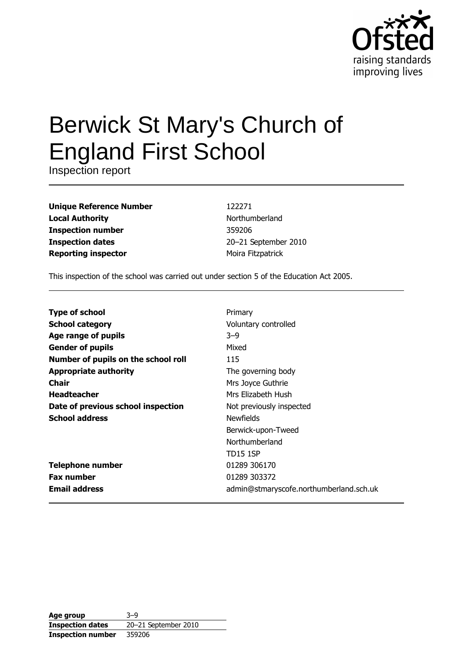

# **Berwick St Mary's Church of England First School**

Inspection report

| Unique Reference Number    |
|----------------------------|
| <b>Local Authority</b>     |
| <b>Inspection number</b>   |
| <b>Inspection dates</b>    |
| <b>Reporting inspector</b> |

122271 Northumberland 359206 20-21 September 2010 Moira Fitzpatrick

This inspection of the school was carried out under section 5 of the Education Act 2005.

| <b>Type of school</b>               | Primary                                 |
|-------------------------------------|-----------------------------------------|
| <b>School category</b>              | Voluntary controlled                    |
| Age range of pupils                 | $3 - 9$                                 |
| <b>Gender of pupils</b>             | Mixed                                   |
| Number of pupils on the school roll | 115                                     |
| <b>Appropriate authority</b>        | The governing body                      |
| <b>Chair</b>                        | Mrs Joyce Guthrie                       |
| <b>Headteacher</b>                  | Mrs Elizabeth Hush                      |
| Date of previous school inspection  | Not previously inspected                |
| <b>School address</b>               | <b>Newfields</b>                        |
|                                     | Berwick-upon-Tweed                      |
|                                     | Northumberland                          |
|                                     | <b>TD15 1SP</b>                         |
| <b>Telephone number</b>             | 01289 306170                            |
| <b>Fax number</b>                   | 01289 303372                            |
| <b>Email address</b>                | admin@stmaryscofe.northumberland.sch.uk |

| Age group                | $3 - 9$              |
|--------------------------|----------------------|
| <b>Inspection dates</b>  | 20-21 September 2010 |
| <b>Inspection number</b> | 359206               |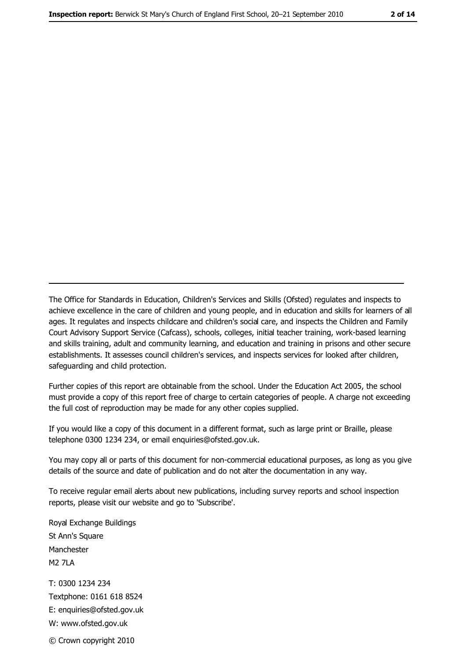The Office for Standards in Education, Children's Services and Skills (Ofsted) regulates and inspects to achieve excellence in the care of children and young people, and in education and skills for learners of all ages. It regulates and inspects childcare and children's social care, and inspects the Children and Family Court Advisory Support Service (Cafcass), schools, colleges, initial teacher training, work-based learning and skills training, adult and community learning, and education and training in prisons and other secure establishments. It assesses council children's services, and inspects services for looked after children, safeguarding and child protection.

Further copies of this report are obtainable from the school. Under the Education Act 2005, the school must provide a copy of this report free of charge to certain categories of people. A charge not exceeding the full cost of reproduction may be made for any other copies supplied.

If you would like a copy of this document in a different format, such as large print or Braille, please telephone 0300 1234 234, or email enquiries@ofsted.gov.uk.

You may copy all or parts of this document for non-commercial educational purposes, as long as you give details of the source and date of publication and do not alter the documentation in any way.

To receive regular email alerts about new publications, including survey reports and school inspection reports, please visit our website and go to 'Subscribe'.

Royal Exchange Buildings St Ann's Square Manchester **M2 7I A** T: 0300 1234 234 Textphone: 0161 618 8524 E: enquiries@ofsted.gov.uk W: www.ofsted.gov.uk

© Crown copyright 2010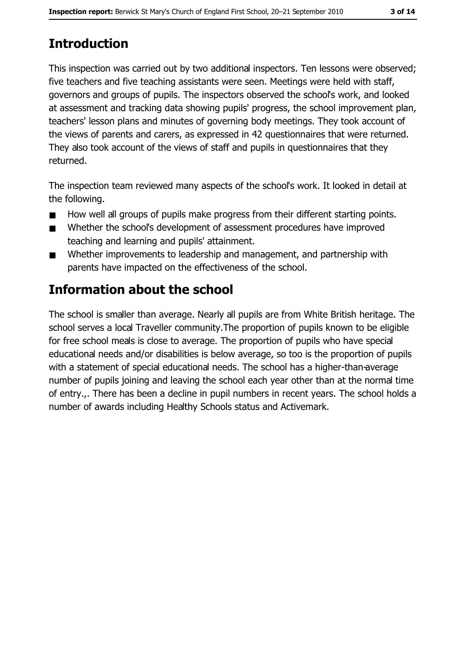# **Introduction**

This inspection was carried out by two additional inspectors. Ten lessons were observed; five teachers and five teaching assistants were seen. Meetings were held with staff, governors and groups of pupils. The inspectors observed the school's work, and looked at assessment and tracking data showing pupils' progress, the school improvement plan, teachers' lesson plans and minutes of governing body meetings. They took account of the views of parents and carers, as expressed in 42 questionnaires that were returned. They also took account of the views of staff and pupils in questionnaires that they returned.

The inspection team reviewed many aspects of the school's work. It looked in detail at the following.

- How well all groups of pupils make progress from their different starting points.  $\blacksquare$
- Whether the school's development of assessment procedures have improved  $\blacksquare$ teaching and learning and pupils' attainment.
- Whether improvements to leadership and management, and partnership with  $\blacksquare$ parents have impacted on the effectiveness of the school.

# Information about the school

The school is smaller than average. Nearly all pupils are from White British heritage. The school serves a local Traveller community. The proportion of pupils known to be eligible for free school meals is close to average. The proportion of pupils who have special educational needs and/or disabilities is below average, so too is the proportion of pupils with a statement of special educational needs. The school has a higher-than-average number of pupils joining and leaving the school each year other than at the normal time of entry... There has been a decline in pupil numbers in recent years. The school holds a number of awards including Healthy Schools status and Activemark.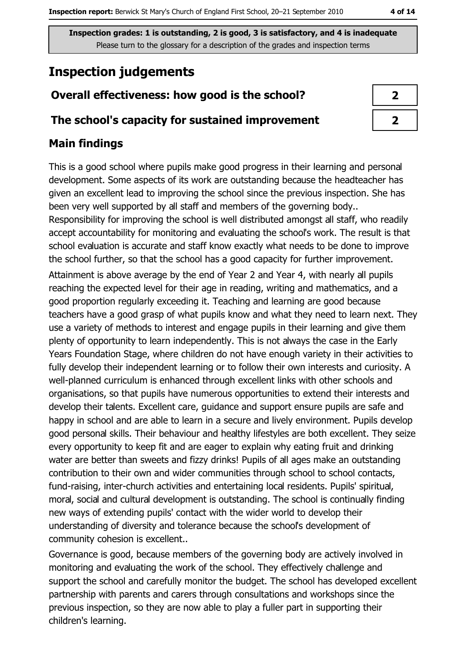# **Inspection judgements**

## Overall effectiveness: how good is the school?

#### The school's capacity for sustained improvement

## **Main findings**

This is a good school where pupils make good progress in their learning and personal development. Some aspects of its work are outstanding because the headteacher has given an excellent lead to improving the school since the previous inspection. She has been very well supported by all staff and members of the governing body..

Responsibility for improving the school is well distributed amongst all staff, who readily accept accountability for monitoring and evaluating the school's work. The result is that school evaluation is accurate and staff know exactly what needs to be done to improve the school further, so that the school has a good capacity for further improvement. Attainment is above average by the end of Year 2 and Year 4, with nearly all pupils reaching the expected level for their age in reading, writing and mathematics, and a good proportion regularly exceeding it. Teaching and learning are good because teachers have a good grasp of what pupils know and what they need to learn next. They use a variety of methods to interest and engage pupils in their learning and give them plenty of opportunity to learn independently. This is not always the case in the Early Years Foundation Stage, where children do not have enough variety in their activities to fully develop their independent learning or to follow their own interests and curiosity. A well-planned curriculum is enhanced through excellent links with other schools and organisations, so that pupils have numerous opportunities to extend their interests and develop their talents. Excellent care, quidance and support ensure pupils are safe and happy in school and are able to learn in a secure and lively environment. Pupils develop good personal skills. Their behaviour and healthy lifestyles are both excellent. They seize every opportunity to keep fit and are eager to explain why eating fruit and drinking water are better than sweets and fizzy drinks! Pupils of all ages make an outstanding contribution to their own and wider communities through school to school contacts, fund-raising, inter-church activities and entertaining local residents. Pupils' spiritual, moral, social and cultural development is outstanding. The school is continually finding new ways of extending pupils' contact with the wider world to develop their understanding of diversity and tolerance because the school's development of community cohesion is excellent..

Governance is good, because members of the governing body are actively involved in monitoring and evaluating the work of the school. They effectively challenge and support the school and carefully monitor the budget. The school has developed excellent partnership with parents and carers through consultations and workshops since the previous inspection, so they are now able to play a fuller part in supporting their children's learning.

| - 2 |
|-----|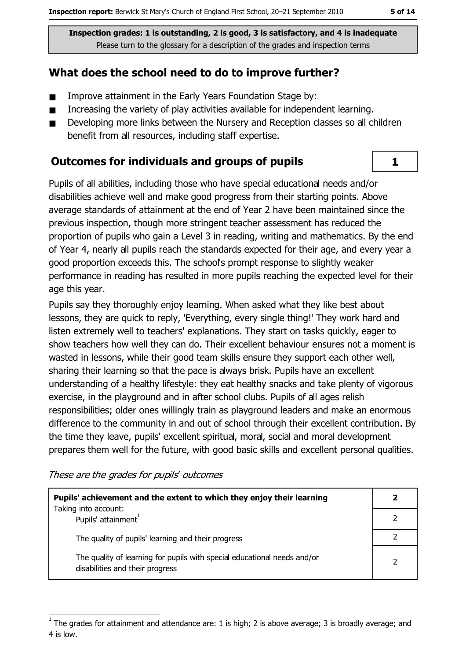#### What does the school need to do to improve further?

- Improve attainment in the Early Years Foundation Stage by:  $\blacksquare$
- Increasing the variety of play activities available for independent learning.  $\blacksquare$
- Developing more links between the Nursery and Reception classes so all children  $\blacksquare$ benefit from all resources, including staff expertise.

#### **Outcomes for individuals and groups of pupils**

Pupils of all abilities, including those who have special educational needs and/or disabilities achieve well and make good progress from their starting points. Above average standards of attainment at the end of Year 2 have been maintained since the previous inspection, though more stringent teacher assessment has reduced the proportion of pupils who gain a Level 3 in reading, writing and mathematics. By the end of Year 4, nearly all pupils reach the standards expected for their age, and every year a good proportion exceeds this. The school's prompt response to slightly weaker performance in reading has resulted in more pupils reaching the expected level for their age this year.

Pupils say they thoroughly enjoy learning. When asked what they like best about lessons, they are quick to reply, 'Everything, every single thing!' They work hard and listen extremely well to teachers' explanations. They start on tasks quickly, eager to show teachers how well they can do. Their excellent behaviour ensures not a moment is wasted in lessons, while their good team skills ensure they support each other well, sharing their learning so that the pace is always brisk. Pupils have an excellent understanding of a healthy lifestyle: they eat healthy snacks and take plenty of vigorous exercise, in the playground and in after school clubs. Pupils of all ages relish responsibilities; older ones willingly train as playground leaders and make an enormous difference to the community in and out of school through their excellent contribution. By the time they leave, pupils' excellent spiritual, moral, social and moral development prepares them well for the future, with good basic skills and excellent personal qualities.

These are the grades for pupils' outcomes

| Pupils' achievement and the extent to which they enjoy their learning                                       |  |  |
|-------------------------------------------------------------------------------------------------------------|--|--|
| Taking into account:<br>Pupils' attainment <sup>1</sup>                                                     |  |  |
| The quality of pupils' learning and their progress                                                          |  |  |
| The quality of learning for pupils with special educational needs and/or<br>disabilities and their progress |  |  |

 $\mathbf{1}$ 

The grades for attainment and attendance are: 1 is high; 2 is above average; 3 is broadly average; and 4 is low.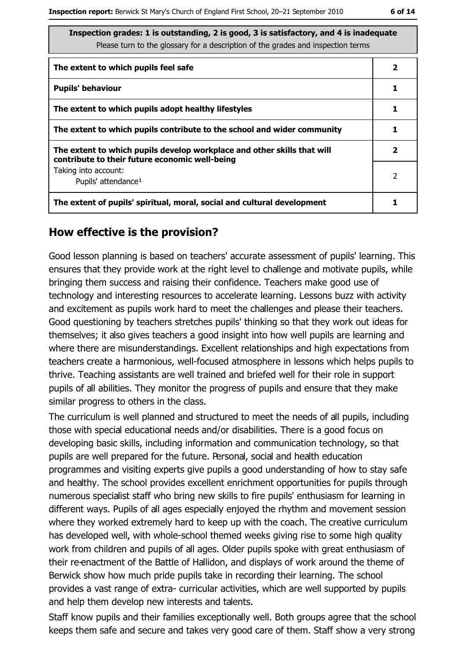| Inspection grades: 1 is outstanding, 2 is good, 3 is satisfactory, and 4 is inadequate<br>Please turn to the glossary for a description of the grades and inspection terms |   |
|----------------------------------------------------------------------------------------------------------------------------------------------------------------------------|---|
| The extent to which pupils feel safe                                                                                                                                       | 2 |
| <b>Pupils' behaviour</b>                                                                                                                                                   | 1 |
| The extent to which pupils adopt healthy lifestyles                                                                                                                        |   |
| The extent to which pupils contribute to the school and wider community                                                                                                    |   |
| The extent to which pupils develop workplace and other skills that will<br>contribute to their future economic well-being                                                  |   |
| Taking into account:<br>Pupils' attendance <sup>1</sup>                                                                                                                    | 2 |
| The extent of pupils' spiritual, moral, social and cultural development                                                                                                    |   |

#### How effective is the provision?

Good lesson planning is based on teachers' accurate assessment of pupils' learning. This ensures that they provide work at the right level to challenge and motivate pupils, while bringing them success and raising their confidence. Teachers make good use of technology and interesting resources to accelerate learning. Lessons buzz with activity and excitement as pupils work hard to meet the challenges and please their teachers. Good questioning by teachers stretches pupils' thinking so that they work out ideas for themselves; it also gives teachers a good insight into how well pupils are learning and where there are misunderstandings. Excellent relationships and high expectations from teachers create a harmonious, well-focused atmosphere in lessons which helps pupils to thrive. Teaching assistants are well trained and briefed well for their role in support pupils of all abilities. They monitor the progress of pupils and ensure that they make similar progress to others in the class.

The curriculum is well planned and structured to meet the needs of all pupils, including those with special educational needs and/or disabilities. There is a good focus on developing basic skills, including information and communication technology, so that pupils are well prepared for the future. Personal, social and health education programmes and visiting experts give pupils a good understanding of how to stay safe and healthy. The school provides excellent enrichment opportunities for pupils through numerous specialist staff who bring new skills to fire pupils' enthusiasm for learning in different ways. Pupils of all ages especially enjoyed the rhythm and movement session where they worked extremely hard to keep up with the coach. The creative curriculum has developed well, with whole-school themed weeks giving rise to some high quality work from children and pupils of all ages. Older pupils spoke with great enthusiasm of their re-enactment of the Battle of Hallidon, and displays of work around the theme of Berwick show how much pride pupils take in recording their learning. The school provides a vast range of extra- curricular activities, which are well supported by pupils and help them develop new interests and talents.

Staff know pupils and their families exceptionally well. Both groups agree that the school keeps them safe and secure and takes very good care of them. Staff show a very strong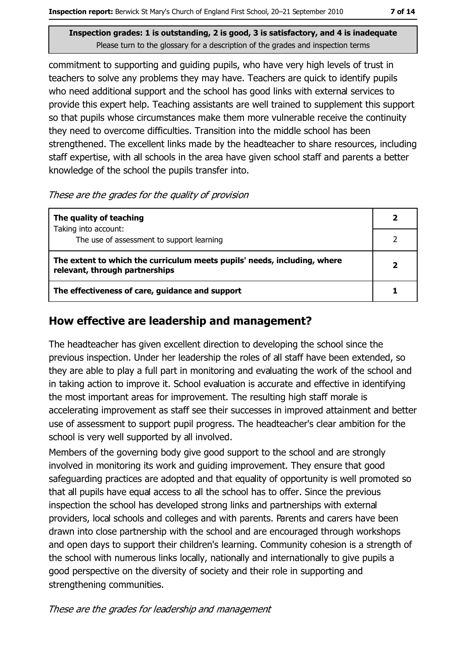commitment to supporting and quiding pupils, who have very high levels of trust in teachers to solve any problems they may have. Teachers are quick to identify pupils who need additional support and the school has good links with external services to provide this expert help. Teaching assistants are well trained to supplement this support so that pupils whose circumstances make them more vulnerable receive the continuity they need to overcome difficulties. Transition into the middle school has been strengthened. The excellent links made by the headteacher to share resources, including staff expertise, with all schools in the area have given school staff and parents a better knowledge of the school the pupils transfer into.

These are the grades for the quality of provision

| The quality of teaching                                                                                    |  |
|------------------------------------------------------------------------------------------------------------|--|
| Taking into account:<br>The use of assessment to support learning                                          |  |
|                                                                                                            |  |
| The extent to which the curriculum meets pupils' needs, including, where<br>relevant, through partnerships |  |
| The effectiveness of care, guidance and support                                                            |  |

#### How effective are leadership and management?

The headteacher has given excellent direction to developing the school since the previous inspection. Under her leadership the roles of all staff have been extended, so they are able to play a full part in monitoring and evaluating the work of the school and in taking action to improve it. School evaluation is accurate and effective in identifying the most important areas for improvement. The resulting high staff morale is accelerating improvement as staff see their successes in improved attainment and better use of assessment to support pupil progress. The headteacher's clear ambition for the school is very well supported by all involved.

Members of the governing body give good support to the school and are strongly involved in monitoring its work and guiding improvement. They ensure that good safeguarding practices are adopted and that equality of opportunity is well promoted so that all pupils have equal access to all the school has to offer. Since the previous inspection the school has developed strong links and partnerships with external providers, local schools and colleges and with parents. Parents and carers have been drawn into close partnership with the school and are encouraged through workshops and open days to support their children's learning. Community cohesion is a strength of the school with numerous links locally, nationally and internationally to give pupils a good perspective on the diversity of society and their role in supporting and strengthening communities.

These are the grades for leadership and management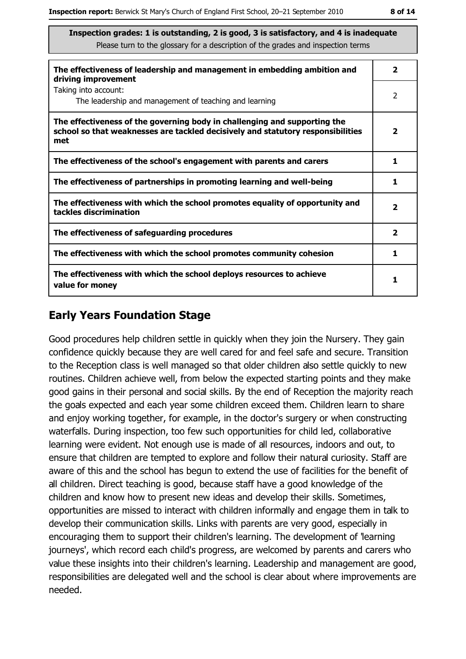| The effectiveness of leadership and management in embedding ambition and<br>driving improvement                                                                     |                         |  |  |
|---------------------------------------------------------------------------------------------------------------------------------------------------------------------|-------------------------|--|--|
| Taking into account:<br>The leadership and management of teaching and learning                                                                                      | 2                       |  |  |
| The effectiveness of the governing body in challenging and supporting the<br>school so that weaknesses are tackled decisively and statutory responsibilities<br>met | $\overline{\mathbf{2}}$ |  |  |
| The effectiveness of the school's engagement with parents and carers                                                                                                | 1                       |  |  |
| The effectiveness of partnerships in promoting learning and well-being                                                                                              | 1                       |  |  |
| The effectiveness with which the school promotes equality of opportunity and<br>tackles discrimination                                                              | $\overline{\mathbf{2}}$ |  |  |
| The effectiveness of safeguarding procedures                                                                                                                        | $\overline{\mathbf{2}}$ |  |  |
| The effectiveness with which the school promotes community cohesion                                                                                                 | 1                       |  |  |
| The effectiveness with which the school deploys resources to achieve<br>value for money                                                                             | 1                       |  |  |

### **Early Years Foundation Stage**

Good procedures help children settle in quickly when they join the Nursery. They gain confidence quickly because they are well cared for and feel safe and secure. Transition to the Reception class is well managed so that older children also settle guickly to new routines. Children achieve well, from below the expected starting points and they make good gains in their personal and social skills. By the end of Reception the majority reach the goals expected and each year some children exceed them. Children learn to share and enjoy working together, for example, in the doctor's surgery or when constructing waterfalls. During inspection, too few such opportunities for child led, collaborative learning were evident. Not enough use is made of all resources, indoors and out, to ensure that children are tempted to explore and follow their natural curiosity. Staff are aware of this and the school has begun to extend the use of facilities for the benefit of all children. Direct teaching is good, because staff have a good knowledge of the children and know how to present new ideas and develop their skills. Sometimes, opportunities are missed to interact with children informally and engage them in talk to develop their communication skills. Links with parents are very good, especially in encouraging them to support their children's learning. The development of 'learning journeys', which record each child's progress, are welcomed by parents and carers who value these insights into their children's learning. Leadership and management are good, responsibilities are delegated well and the school is clear about where improvements are needed.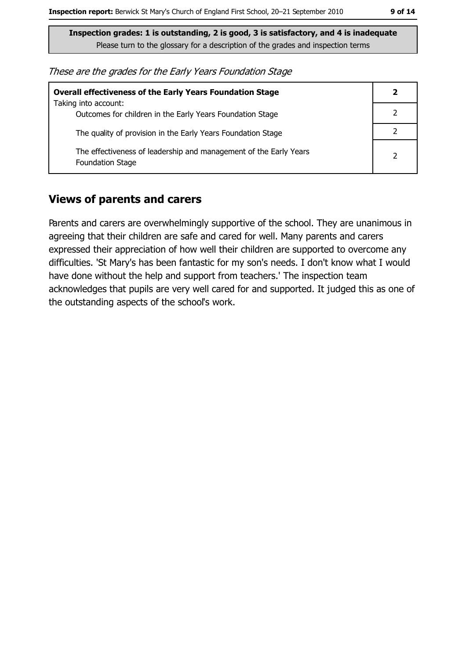These are the grades for the Early Years Foundation Stage

| <b>Overall effectiveness of the Early Years Foundation Stage</b>                             |   |
|----------------------------------------------------------------------------------------------|---|
| Taking into account:<br>Outcomes for children in the Early Years Foundation Stage            |   |
| The quality of provision in the Early Years Foundation Stage                                 |   |
| The effectiveness of leadership and management of the Early Years<br><b>Foundation Stage</b> | 2 |

#### **Views of parents and carers**

Parents and carers are overwhelmingly supportive of the school. They are unanimous in agreeing that their children are safe and cared for well. Many parents and carers expressed their appreciation of how well their children are supported to overcome any difficulties. 'St Mary's has been fantastic for my son's needs. I don't know what I would have done without the help and support from teachers.' The inspection team acknowledges that pupils are very well cared for and supported. It judged this as one of the outstanding aspects of the school's work.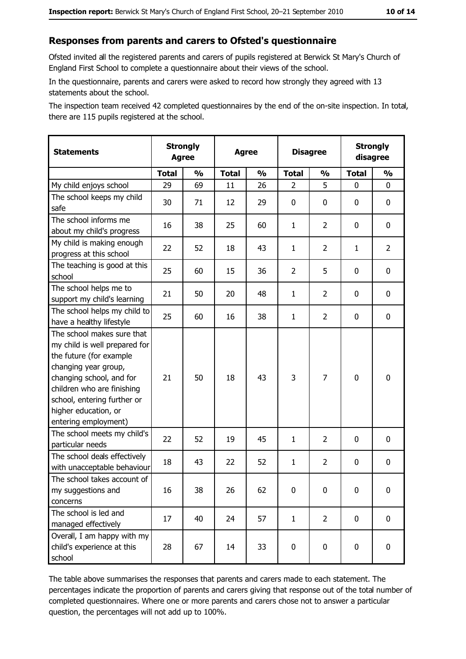#### Responses from parents and carers to Ofsted's questionnaire

Ofsted invited all the registered parents and carers of pupils registered at Berwick St Mary's Church of England First School to complete a questionnaire about their views of the school.

In the questionnaire, parents and carers were asked to record how strongly they agreed with 13 statements about the school.

The inspection team received 42 completed questionnaires by the end of the on-site inspection. In total, there are 115 pupils registered at the school.

| <b>Statements</b>                                                                                                                                                                                                                                       | <b>Agree</b> | <b>Strongly</b> | <b>Strongly</b><br><b>Disagree</b><br><b>Agree</b><br>disagree |               |                |                |              |                |
|---------------------------------------------------------------------------------------------------------------------------------------------------------------------------------------------------------------------------------------------------------|--------------|-----------------|----------------------------------------------------------------|---------------|----------------|----------------|--------------|----------------|
|                                                                                                                                                                                                                                                         | <b>Total</b> | $\frac{0}{0}$   | <b>Total</b>                                                   | $\frac{0}{0}$ | <b>Total</b>   | $\frac{0}{0}$  | <b>Total</b> | $\frac{0}{0}$  |
| My child enjoys school                                                                                                                                                                                                                                  | 29           | 69              | 11                                                             | 26            | $\overline{2}$ | 5              | $\mathbf{0}$ | 0              |
| The school keeps my child<br>safe                                                                                                                                                                                                                       | 30           | 71              | 12                                                             | 29            | $\mathbf 0$    | 0              | 0            | $\mathbf 0$    |
| The school informs me<br>about my child's progress                                                                                                                                                                                                      | 16           | 38              | 25                                                             | 60            | $\mathbf{1}$   | $\overline{2}$ | 0            | 0              |
| My child is making enough<br>progress at this school                                                                                                                                                                                                    | 22           | 52              | 18                                                             | 43            | $\mathbf{1}$   | $\overline{2}$ | 1            | $\overline{2}$ |
| The teaching is good at this<br>school                                                                                                                                                                                                                  | 25           | 60              | 15                                                             | 36            | $\overline{2}$ | 5              | 0            | 0              |
| The school helps me to<br>support my child's learning                                                                                                                                                                                                   | 21           | 50              | 20                                                             | 48            | $\mathbf{1}$   | $\overline{2}$ | 0            | $\mathbf 0$    |
| The school helps my child to<br>have a healthy lifestyle                                                                                                                                                                                                | 25           | 60              | 16                                                             | 38            | $\mathbf{1}$   | $\overline{2}$ | 0            | $\mathbf 0$    |
| The school makes sure that<br>my child is well prepared for<br>the future (for example<br>changing year group,<br>changing school, and for<br>children who are finishing<br>school, entering further or<br>higher education, or<br>entering employment) | 21           | 50              | 18                                                             | 43            | 3              | 7              | $\mathbf 0$  | $\bf{0}$       |
| The school meets my child's<br>particular needs                                                                                                                                                                                                         | 22           | 52              | 19                                                             | 45            | $\mathbf{1}$   | 2              | 0            | $\mathbf 0$    |
| The school deals effectively<br>with unacceptable behaviour                                                                                                                                                                                             | 18           | 43              | 22                                                             | 52            | $\mathbf{1}$   | $\overline{2}$ | 0            | $\mathbf 0$    |
| The school takes account of<br>my suggestions and<br>concerns                                                                                                                                                                                           | 16           | 38              | 26                                                             | 62            | $\mathbf 0$    | 0              | 0            | $\bf{0}$       |
| The school is led and<br>managed effectively                                                                                                                                                                                                            | 17           | 40              | 24                                                             | 57            | $\mathbf{1}$   | $\overline{2}$ | $\mathbf 0$  | $\mathbf 0$    |
| Overall, I am happy with my<br>child's experience at this<br>school                                                                                                                                                                                     | 28           | 67              | 14                                                             | 33            | $\pmb{0}$      | $\pmb{0}$      | $\mathbf 0$  | 0              |

The table above summarises the responses that parents and carers made to each statement. The percentages indicate the proportion of parents and carers giving that response out of the total number of completed questionnaires. Where one or more parents and carers chose not to answer a particular question, the percentages will not add up to 100%.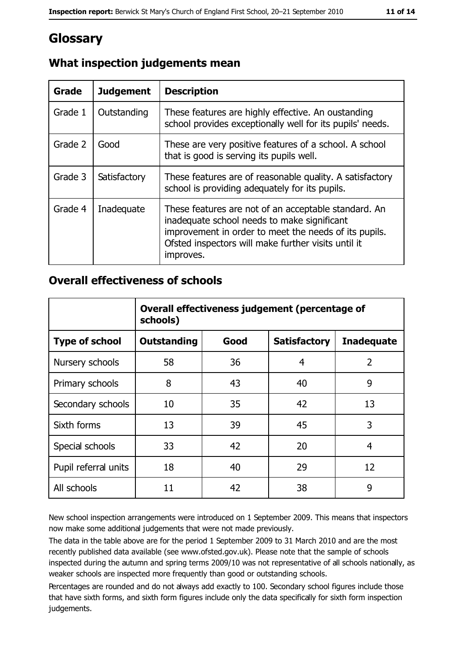## Glossary

| <b>Grade</b> | <b>Judgement</b> | <b>Description</b>                                                                                                                                                                                                               |
|--------------|------------------|----------------------------------------------------------------------------------------------------------------------------------------------------------------------------------------------------------------------------------|
| Grade 1      | Outstanding      | These features are highly effective. An oustanding<br>school provides exceptionally well for its pupils' needs.                                                                                                                  |
| Grade 2      | Good             | These are very positive features of a school. A school<br>that is good is serving its pupils well.                                                                                                                               |
| Grade 3      | Satisfactory     | These features are of reasonable quality. A satisfactory<br>school is providing adequately for its pupils.                                                                                                                       |
| Grade 4      | Inadequate       | These features are not of an acceptable standard. An<br>inadequate school needs to make significant<br>improvement in order to meet the needs of its pupils.<br>Ofsted inspectors will make further visits until it<br>improves. |

## What inspection judgements mean

#### **Overall effectiveness of schools**

|                       | Overall effectiveness judgement (percentage of<br>schools) |      |                     |                   |  |
|-----------------------|------------------------------------------------------------|------|---------------------|-------------------|--|
| <b>Type of school</b> | <b>Outstanding</b>                                         | Good | <b>Satisfactory</b> | <b>Inadequate</b> |  |
| Nursery schools       | 58                                                         | 36   | 4                   | $\overline{2}$    |  |
| Primary schools       | 8                                                          | 43   | 40                  | 9                 |  |
| Secondary schools     | 10                                                         | 35   | 42                  | 13                |  |
| Sixth forms           | 13                                                         | 39   | 45                  | 3                 |  |
| Special schools       | 33                                                         | 42   | 20                  | 4                 |  |
| Pupil referral units  | 18                                                         | 40   | 29                  | 12                |  |
| All schools           | 11                                                         | 42   | 38                  | 9                 |  |

New school inspection arrangements were introduced on 1 September 2009. This means that inspectors now make some additional judgements that were not made previously.

The data in the table above are for the period 1 September 2009 to 31 March 2010 and are the most recently published data available (see www.ofsted.gov.uk). Please note that the sample of schools inspected during the autumn and spring terms 2009/10 was not representative of all schools nationally, as weaker schools are inspected more frequently than good or outstanding schools.

Percentages are rounded and do not always add exactly to 100. Secondary school figures include those that have sixth forms, and sixth form figures include only the data specifically for sixth form inspection judgements.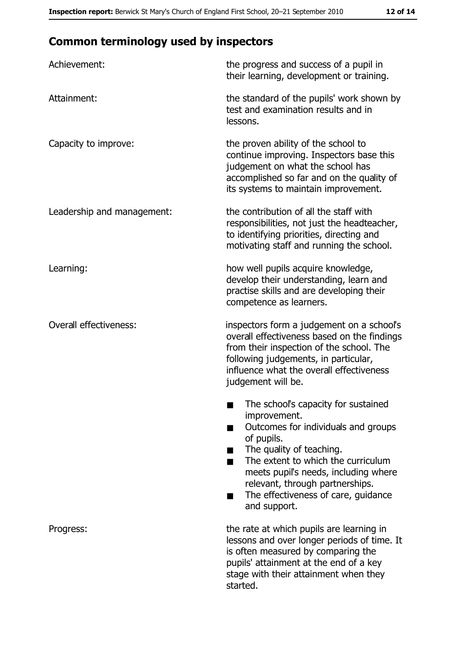## **Common terminology used by inspectors**

| Achievement:                  | the progress and success of a pupil in<br>their learning, development or training.                                                                                                                                                                                                                           |
|-------------------------------|--------------------------------------------------------------------------------------------------------------------------------------------------------------------------------------------------------------------------------------------------------------------------------------------------------------|
| Attainment:                   | the standard of the pupils' work shown by<br>test and examination results and in<br>lessons.                                                                                                                                                                                                                 |
| Capacity to improve:          | the proven ability of the school to<br>continue improving. Inspectors base this<br>judgement on what the school has<br>accomplished so far and on the quality of<br>its systems to maintain improvement.                                                                                                     |
| Leadership and management:    | the contribution of all the staff with<br>responsibilities, not just the headteacher,<br>to identifying priorities, directing and<br>motivating staff and running the school.                                                                                                                                |
| Learning:                     | how well pupils acquire knowledge,<br>develop their understanding, learn and<br>practise skills and are developing their<br>competence as learners.                                                                                                                                                          |
| <b>Overall effectiveness:</b> | inspectors form a judgement on a school's<br>overall effectiveness based on the findings<br>from their inspection of the school. The<br>following judgements, in particular,<br>influence what the overall effectiveness<br>judgement will be.                                                               |
|                               | The school's capacity for sustained<br>improvement.<br>Outcomes for individuals and groups<br>of pupils.<br>The quality of teaching.<br>The extent to which the curriculum<br>meets pupil's needs, including where<br>relevant, through partnerships.<br>The effectiveness of care, guidance<br>and support. |
| Progress:                     | the rate at which pupils are learning in<br>lessons and over longer periods of time. It<br>is often measured by comparing the<br>pupils' attainment at the end of a key<br>stage with their attainment when they<br>started.                                                                                 |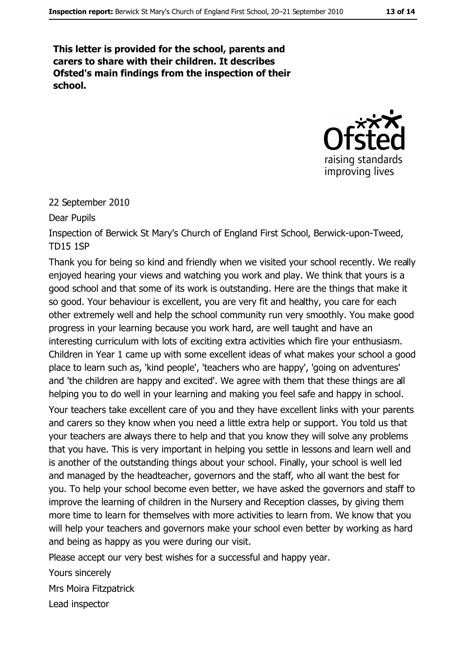This letter is provided for the school, parents and carers to share with their children. It describes Ofsted's main findings from the inspection of their school.



#### 22 September 2010

Dear Pupils

Inspection of Berwick St Mary's Church of England First School, Berwick-upon-Tweed, **TD15 1SP** 

Thank you for being so kind and friendly when we visited your school recently. We really enjoyed hearing your views and watching you work and play. We think that yours is a good school and that some of its work is outstanding. Here are the things that make it so good. Your behaviour is excellent, you are very fit and healthy, you care for each other extremely well and help the school community run very smoothly. You make good progress in your learning because you work hard, are well taught and have an interesting curriculum with lots of exciting extra activities which fire your enthusiasm. Children in Year 1 came up with some excellent ideas of what makes your school a good place to learn such as, 'kind people', 'teachers who are happy', 'going on adventures' and 'the children are happy and excited'. We agree with them that these things are all helping you to do well in your learning and making you feel safe and happy in school.

Your teachers take excellent care of you and they have excellent links with your parents and carers so they know when you need a little extra help or support. You told us that your teachers are always there to help and that you know they will solve any problems that you have. This is very important in helping you settle in lessons and learn well and is another of the outstanding things about your school. Finally, your school is well led and managed by the headteacher, governors and the staff, who all want the best for you. To help your school become even better, we have asked the governors and staff to improve the learning of children in the Nursery and Reception classes, by giving them more time to learn for themselves with more activities to learn from. We know that you will help your teachers and governors make your school even better by working as hard and being as happy as you were during our visit.

Please accept our very best wishes for a successful and happy year.

Yours sincerely **Mrs Moira Fitzpatrick** 

Lead inspector